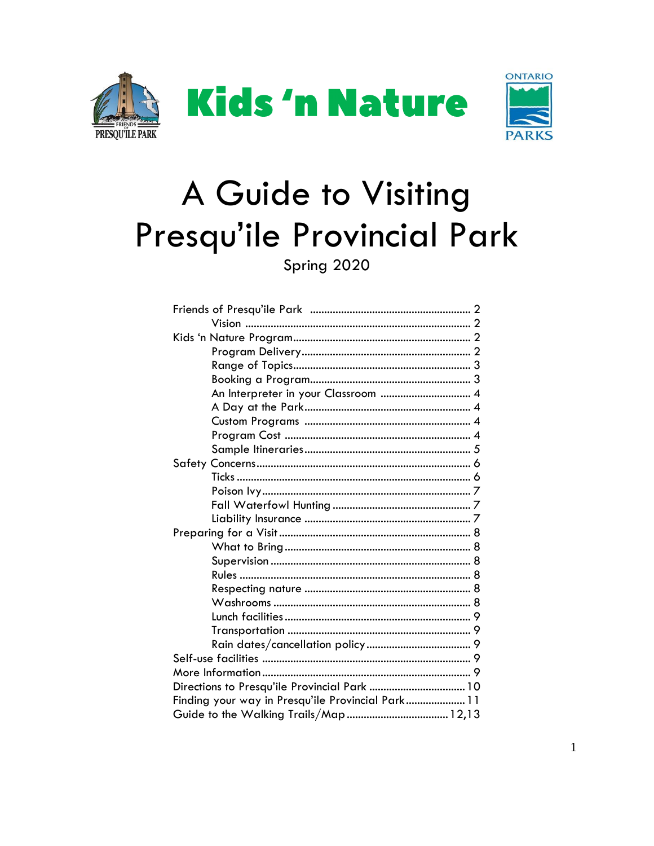





# A Guide to Visiting Presqu'ile Provincial Park

Spring 2020

| An Interpreter in your Classroom  4               |  |  |
|---------------------------------------------------|--|--|
|                                                   |  |  |
|                                                   |  |  |
|                                                   |  |  |
|                                                   |  |  |
|                                                   |  |  |
|                                                   |  |  |
|                                                   |  |  |
|                                                   |  |  |
|                                                   |  |  |
|                                                   |  |  |
|                                                   |  |  |
|                                                   |  |  |
|                                                   |  |  |
|                                                   |  |  |
|                                                   |  |  |
|                                                   |  |  |
|                                                   |  |  |
|                                                   |  |  |
|                                                   |  |  |
|                                                   |  |  |
| Directions to Presqu'ile Provincial Park  10      |  |  |
| Finding your way in Presqu'ile Provincial Park 11 |  |  |
| Guide to the Walking Trails/Map  12,13            |  |  |
|                                                   |  |  |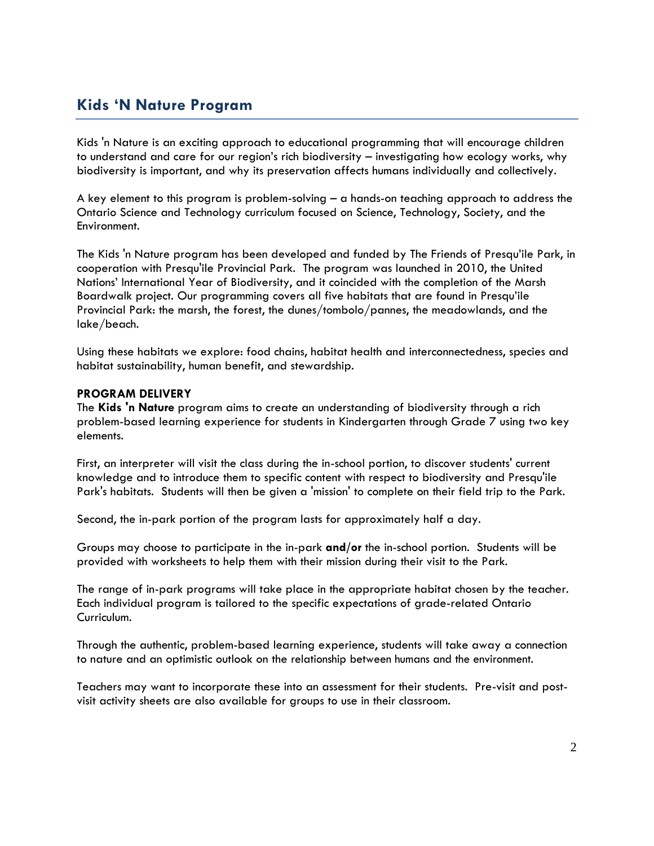### **Kids 'N Nature Program**

Kids 'n Nature is an exciting approach to educational programming that will encourage children to understand and care for our region's rich biodiversity – investigating how ecology works, why biodiversity is important, and why its preservation affects humans individually and collectively.

A key element to this program is problem-solving – a hands-on teaching approach to address the Ontario Science and Technology curriculum focused on Science, Technology, Society, and the Environment.

The Kids 'n Nature program has been developed and funded by The Friends of Presqu'ile Park, in cooperation with Presqu'ile Provincial Park. The program was launched in 2010, the United Nations' International Year of Biodiversity, and it coincided with the completion of the Marsh Boardwalk project. Our programming covers all five habitats that are found in Presqu'ile Provincial Park: the marsh, the forest, the dunes/tombolo/pannes, the meadowlands, and the lake/beach.

Using these habitats we explore: food chains, habitat health and interconnectedness, species and habitat sustainability, human benefit, and stewardship.

#### **PROGRAM DELIVERY**

The **Kids 'n Nature** program aims to create an understanding of biodiversity through a rich problem-based learning experience for students in Kindergarten through Grade 7 using two key elements.

First, an interpreter will visit the class during the in-school portion, to discover students' current knowledge and to introduce them to specific content with respect to biodiversity and Presqu'ile Park's habitats. Students will then be given a 'mission' to complete on their field trip to the Park.

Second, the in-park portion of the program lasts for approximately half a day.

Groups may choose to participate in the in-park **and/or** the in-school portion. Students will be provided with worksheets to help them with their mission during their visit to the Park.

The range of in-park programs will take place in the appropriate habitat chosen by the teacher. Each individual program is tailored to the specific expectations of grade-related Ontario Curriculum.

Through the authentic, problem-based learning experience, students will take away a connection to nature and an optimistic outlook on the relationship between humans and the environment.

Teachers may want to incorporate these into an assessment for their students. Pre-visit and postvisit activity sheets are also available for groups to use in their classroom.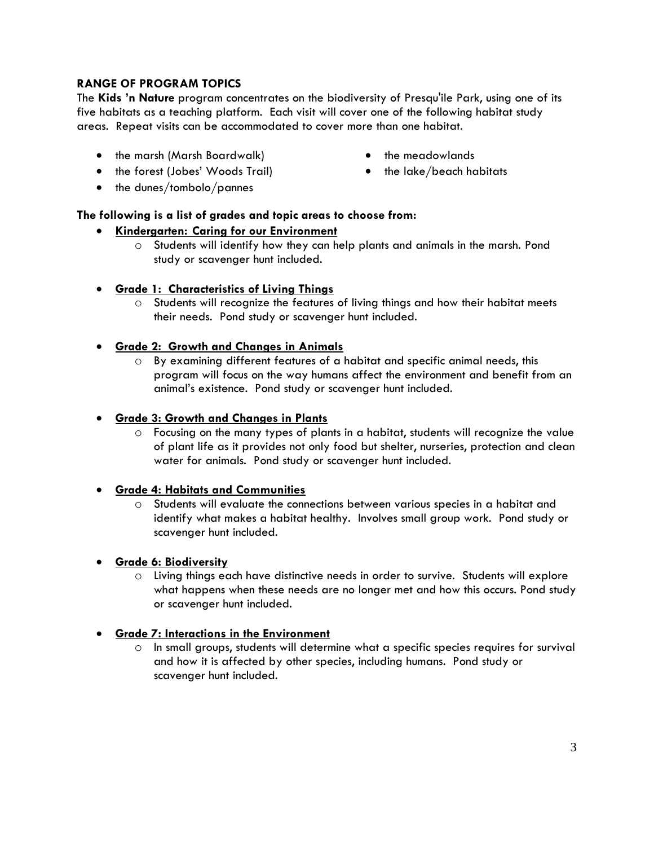### **RANGE OF PROGRAM TOPICS**

The **Kids 'n Nature** program concentrates on the biodiversity of Presqu'ile Park, using one of its five habitats as a teaching platform. Each visit will cover one of the following habitat study areas. Repeat visits can be accommodated to cover more than one habitat.

- the marsh (Marsh Boardwalk)
- the forest (Jobes' Woods Trail)
- the dunes/tombolo/pannes
- **The following is a list of grades and topic areas to choose from:**

### **Kindergarten: Caring for our Environment**

- o Students will identify how they can help plants and animals in the marsh. Pond study or scavenger hunt included.
- **Grade 1: Characteristics of Living Things**
	- $\circ$  Students will recognize the features of living things and how their habitat meets their needs. Pond study or scavenger hunt included.
- **Grade 2: Growth and Changes in Animals**
	- o By examining different features of a habitat and specific animal needs, this program will focus on the way humans affect the environment and benefit from an animal's existence. Pond study or scavenger hunt included.
- **Grade 3: Growth and Changes in Plants**
	- o Focusing on the many types of plants in a habitat, students will recognize the value of plant life as it provides not only food but shelter, nurseries, protection and clean water for animals. Pond study or scavenger hunt included.

### **Grade 4: Habitats and Communities**

- o Students will evaluate the connections between various species in a habitat and identify what makes a habitat healthy. Involves small group work. Pond study or scavenger hunt included.
- **Grade 6: Biodiversity**
	- o Living things each have distinctive needs in order to survive. Students will explore what happens when these needs are no longer met and how this occurs. Pond study or scavenger hunt included.

### **Grade 7: Interactions in the Environment**

 $\circ$  In small groups, students will determine what a specific species requires for survival and how it is affected by other species, including humans. Pond study or scavenger hunt included.

- the meadowlands
- the lake/beach habitats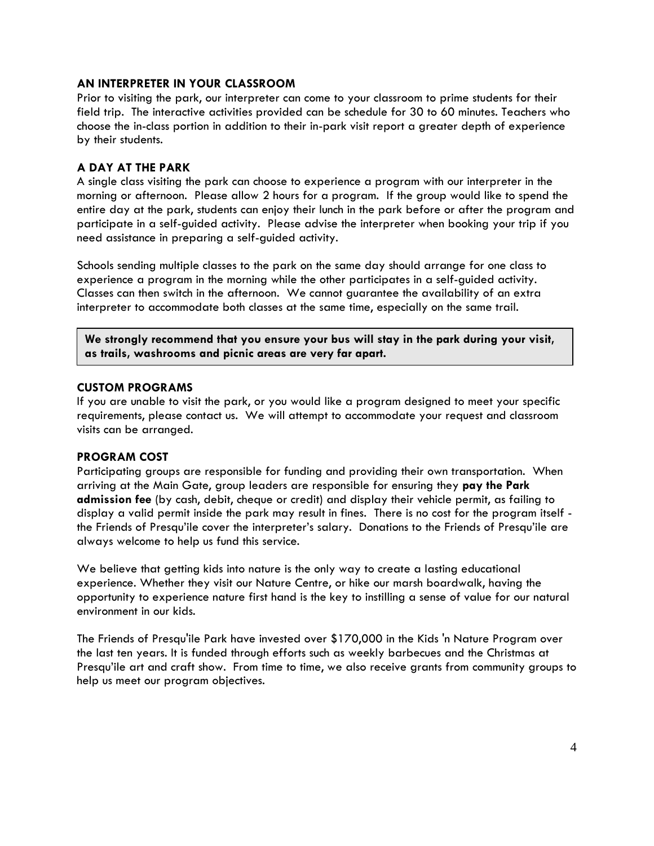### **AN INTERPRETER IN YOUR CLASSROOM**

Prior to visiting the park, our interpreter can come to your classroom to prime students for their field trip. The interactive activities provided can be schedule for 30 to 60 minutes. Teachers who choose the in-class portion in addition to their in-park visit report a greater depth of experience by their students.

#### **A DAY AT THE PARK**

A single class visiting the park can choose to experience a program with our interpreter in the morning or afternoon. Please allow 2 hours for a program. If the group would like to spend the entire day at the park, students can enjoy their lunch in the park before or after the program and participate in a self-guided activity. Please advise the interpreter when booking your trip if you need assistance in preparing a self-guided activity.

Schools sending multiple classes to the park on the same day should arrange for one class to experience a program in the morning while the other participates in a self-guided activity. Classes can then switch in the afternoon. We cannot guarantee the availability of an extra interpreter to accommodate both classes at the same time, especially on the same trail.

**We strongly recommend that you ensure your bus will stay in the park during your visit, as trails, washrooms and picnic areas are very far apart.**

#### **CUSTOM PROGRAMS**

If you are unable to visit the park, or you would like a program designed to meet your specific requirements, please contact us. We will attempt to accommodate your request and classroom visits can be arranged.

#### **PROGRAM COST**

Participating groups are responsible for funding and providing their own transportation. When arriving at the Main Gate, group leaders are responsible for ensuring they **pay the Park admission fee** (by cash, debit, cheque or credit) and display their vehicle permit, as failing to display a valid permit inside the park may result in fines. There is no cost for the program itself the Friends of Presqu'ile cover the interpreter's salary. Donations to the Friends of Presqu'ile are always welcome to help us fund this service.

We believe that getting kids into nature is the only way to create a lasting educational experience. Whether they visit our Nature Centre, or hike our marsh boardwalk, having the opportunity to experience nature first hand is the key to instilling a sense of value for our natural environment in our kids.

The Friends of Presqu'ile Park have invested over \$170,000 in the Kids 'n Nature Program over the last ten years. It is funded through efforts such as weekly barbecues and the Christmas at Presqu'ile art and craft show. From time to time, we also receive grants from community groups to help us meet our program objectives.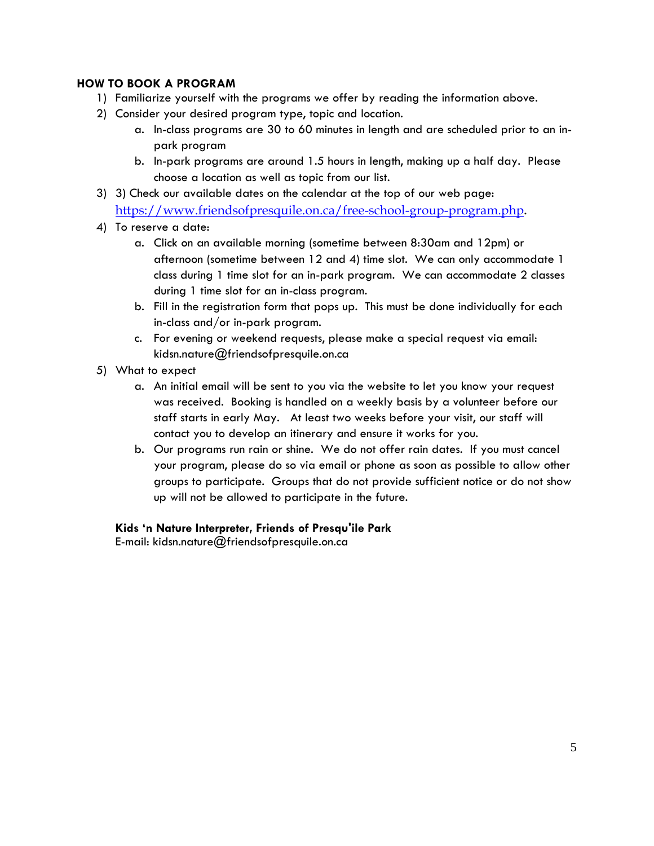### **HOW TO BOOK A PROGRAM**

- 1) Familiarize yourself with the programs we offer by reading the information above.
- 2) Consider your desired program type, topic and location.
	- a. In-class programs are 30 to 60 minutes in length and are scheduled prior to an inpark program
	- b. In-park programs are around 1.5 hours in length, making up a half day. Please choose a location as well as topic from our list.
- 3) 3) Check our available dates on the calendar at the top of our web page:

<https://www.friendsofpresquile.on.ca/free-school-group-program.php>.

- 4) To reserve a date:
	- a. Click on an available morning (sometime between 8:30am and 12pm) or afternoon (sometime between 12 and 4) time slot. We can only accommodate 1 class during 1 time slot for an in-park program. We can accommodate 2 classes during 1 time slot for an in-class program.
	- b. Fill in the registration form that pops up. This must be done individually for each in-class and/or in-park program.
	- c. For evening or weekend requests, please make a special request via email: kidsn.nature@friendsofpresquile.on.ca
- 5) What to expect
	- a. An initial email will be sent to you via the website to let you know your request was received. Booking is handled on a weekly basis by a volunteer before our staff starts in early May. At least two weeks before your visit, our staff will contact you to develop an itinerary and ensure it works for you.
	- b. Our programs run rain or shine. We do not offer rain dates. If you must cancel your program, please do so via email or phone as soon as possible to allow other groups to participate. Groups that do not provide sufficient notice or do not show up will not be allowed to participate in the future.

### **Kids 'n Nature Interpreter, Friends of Presqu'ile Park**

E-mail: kidsn.nature@friendsofpresquile.on.ca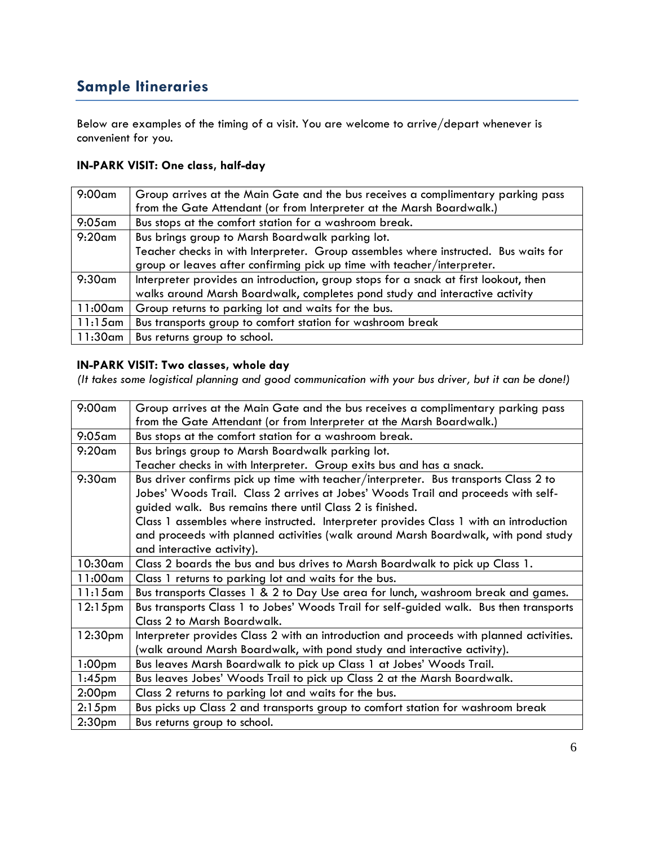### **Sample Itineraries**

Below are examples of the timing of a visit. You are welcome to arrive/depart whenever is convenient for you.

### **IN-PARK VISIT: One class, half-day**

| $9:00$ am  | Group arrives at the Main Gate and the bus receives a complimentary parking pass     |
|------------|--------------------------------------------------------------------------------------|
|            | from the Gate Attendant (or from Interpreter at the Marsh Boardwalk.)                |
| $9:05$ am  | Bus stops at the comfort station for a washroom break.                               |
| $9:20$ am  | Bus brings group to Marsh Boardwalk parking lot.                                     |
|            | Teacher checks in with Interpreter. Group assembles where instructed. Bus waits for  |
|            | group or leaves after confirming pick up time with teacher/interpreter.              |
| $9:30$ am  | Interpreter provides an introduction, group stops for a snack at first lookout, then |
|            | walks around Marsh Boardwalk, completes pond study and interactive activity          |
| 11:00am    | Group returns to parking lot and waits for the bus.                                  |
| $11:15$ am | Bus transports group to comfort station for washroom break                           |
| 11:30am    | Bus returns group to school.                                                         |

### **IN-PARK VISIT: Two classes, whole day**

*(It takes some logistical planning and good communication with your bus driver, but it can be done!)*

| $9:00$ am           | Group arrives at the Main Gate and the bus receives a complimentary parking pass        |
|---------------------|-----------------------------------------------------------------------------------------|
|                     |                                                                                         |
|                     | from the Gate Attendant (or from Interpreter at the Marsh Boardwalk.)                   |
| $9:05$ am           | Bus stops at the comfort station for a washroom break.                                  |
| $9:20$ am           | Bus brings group to Marsh Boardwalk parking lot.                                        |
|                     | Teacher checks in with Interpreter. Group exits bus and has a snack.                    |
| $9:30$ am           | Bus driver confirms pick up time with teacher/interpreter. Bus transports Class 2 to    |
|                     | Jobes' Woods Trail. Class 2 arrives at Jobes' Woods Trail and proceeds with self-       |
|                     | guided walk. Bus remains there until Class 2 is finished.                               |
|                     | Class 1 assembles where instructed. Interpreter provides Class 1 with an introduction   |
|                     | and proceeds with planned activities (walk around Marsh Boardwalk, with pond study      |
|                     | and interactive activity).                                                              |
| $10:30$ am          | Class 2 boards the bus and bus drives to Marsh Boardwalk to pick up Class 1.            |
| 11:00am             | Class 1 returns to parking lot and waits for the bus.                                   |
| $11:15$ am          | Bus transports Classes 1 & 2 to Day Use area for lunch, washroom break and games.       |
| $12:15$ pm          | Bus transports Class 1 to Jobes' Woods Trail for self-guided walk. Bus then transports  |
|                     | Class 2 to Marsh Boardwalk.                                                             |
| 12:30 <sub>pm</sub> | Interpreter provides Class 2 with an introduction and proceeds with planned activities. |
|                     | (walk around Marsh Boardwalk, with pond study and interactive activity).                |
| 1:00 <sub>pm</sub>  | Bus leaves Marsh Boardwalk to pick up Class 1 at Jobes' Woods Trail.                    |
| $1:45$ pm           | Bus leaves Jobes' Woods Trail to pick up Class 2 at the Marsh Boardwalk.                |
| 2:00 <sub>pm</sub>  | Class 2 returns to parking lot and waits for the bus.                                   |
| $2:15$ pm           | Bus picks up Class 2 and transports group to comfort station for washroom break         |
| 2:30 <sub>pm</sub>  | Bus returns group to school.                                                            |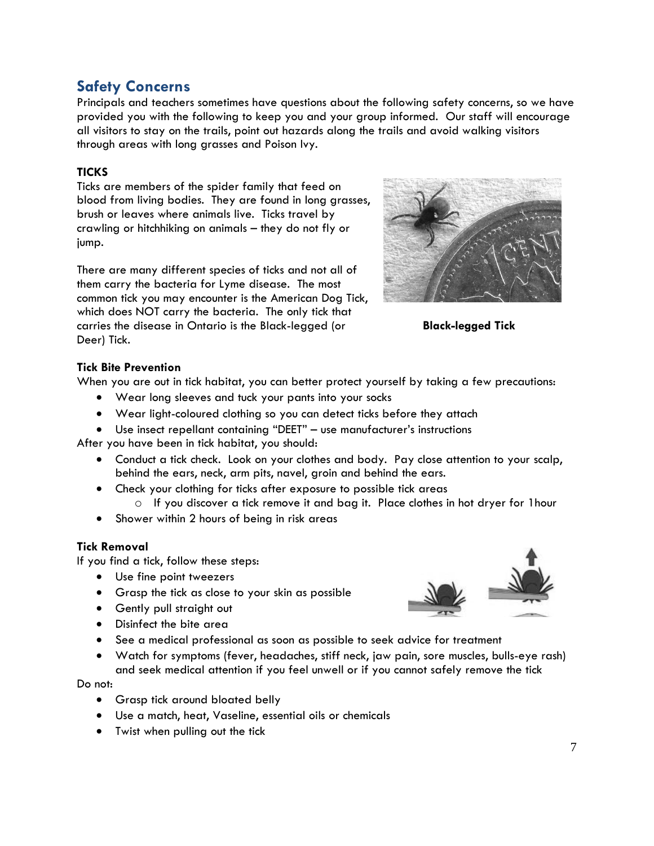### **Safety Concerns**

Principals and teachers sometimes have questions about the following safety concerns, so we have provided you with the following to keep you and your group informed. Our staff will encourage all visitors to stay on the trails, point out hazards along the trails and avoid walking visitors through areas with long grasses and Poison Ivy.

### **TICKS**

Ticks are members of the spider family that feed on blood from living bodies. They are found in long grasses, brush or leaves where animals live. Ticks travel by crawling or hitchhiking on animals – they do not fly or jump.

There are many different species of ticks and not all of them carry the bacteria for Lyme disease. The most common tick you may encounter is the American Dog Tick, which does NOT carry the bacteria. The only tick that carries the disease in Ontario is the Black-legged (or **Black-legged Tick** Deer) Tick.



### **Tick Bite Prevention**

When you are out in tick habitat, you can better protect yourself by taking a few precautions:

- Wear long sleeves and tuck your pants into your socks
- Wear light-coloured clothing so you can detect ticks before they attach
- Use insect repellant containing "DEET" use manufacturer's instructions

After you have been in tick habitat, you should:

- Conduct a tick check. Look on your clothes and body. Pay close attention to your scalp, behind the ears, neck, arm pits, navel, groin and behind the ears.
- Check your clothing for ticks after exposure to possible tick areas
	- o If you discover a tick remove it and bag it. Place clothes in hot dryer for 1hour
- Shower within 2 hours of being in risk areas

### **Tick Removal**

If you find a tick, follow these steps:

- Use fine point tweezers
- Grasp the tick as close to your skin as possible
- Gently pull straight out
- Disinfect the bite area
- See a medical professional as soon as possible to seek advice for treatment
- Watch for symptoms (fever, headaches, stiff neck, jaw pain, sore muscles, bulls-eye rash) and seek medical attention if you feel unwell or if you cannot safely remove the tick

Do not:

- **•** Grasp tick around bloated belly
- Use a match, heat, Vaseline, essential oils or chemicals
- Twist when pulling out the tick

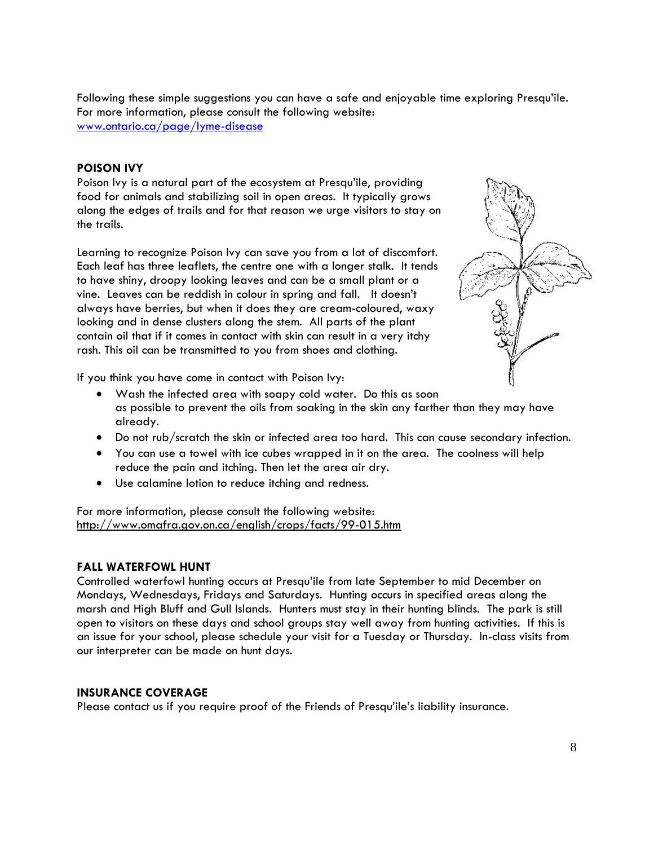Following these simple suggestions you can have a safe and enjoyable time exploring Presqu'ile. For more information, please consult the following website: [www.ontario.ca/page/lyme-disease](http://www.ontario.ca/page/lyme-disease)

### **POISON IVY**

Poison Ivy is a natural part of the ecosystem at Presqu'ile, providing food for animals and stabilizing soil in open areas. It typically grows along the edges of trails and for that reason we urge visitors to stay on the trails.

Learning to recognize Poison Ivy can save you from a lot of discomfort. Each leaf has three leaflets, the centre one with a longer stalk. It tends to have shiny, droopy looking leaves and can be a small plant or a vine. Leaves can be reddish in colour in spring and fall. It doesn't always have berries, but when it does they are cream-coloured, waxy looking and in dense clusters along the stem. All parts of the plant contain oil that if it comes in contact with skin can result in a very itchy rash. This oil can be transmitted to you from shoes and clothing.



If you think you have come in contact with Poison Ivy:

- Wash the infected area with soapy cold water. Do this as soon as possible to prevent the oils from soaking in the skin any farther than they may have already.
- Do not rub/scratch the skin or infected area too hard. This can cause secondary infection.
- You can use a towel with ice cubes wrapped in it on the area. The coolness will help reduce the pain and itching. Then let the area air dry.
- Use calamine lotion to reduce itching and redness.

For more information, please consult the following website: <http://www.omafra.gov.on.ca/english/crops/facts/99-015.htm>

### **FALL WATERFOWL HUNT**

Controlled waterfowl hunting occurs at Presqu'ile from late September to mid December on Mondays, Wednesdays, Fridays and Saturdays. Hunting occurs in specified areas along the marsh and High Bluff and Gull Islands. Hunters must stay in their hunting blinds. The park is still open to visitors on these days and school groups stay well away from hunting activities. If this is an issue for your school, please schedule your visit for a Tuesday or Thursday. In-class visits from our interpreter can be made on hunt days.

### **INSURANCE COVERAGE**

Please contact us if you require proof of the Friends of Presqu'ile's liability insurance.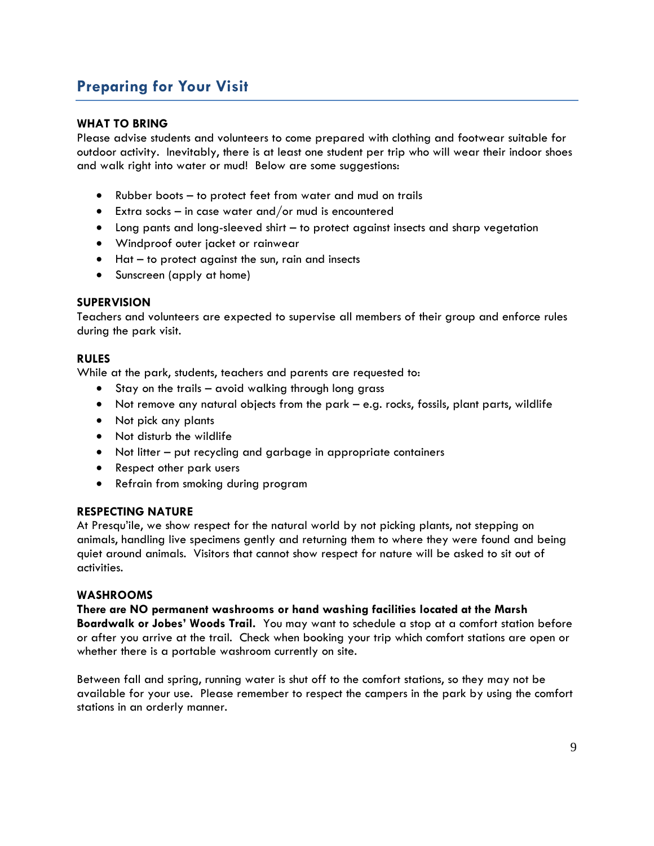### **Preparing for Your Visit**

### **WHAT TO BRING**

Please advise students and volunteers to come prepared with clothing and footwear suitable for outdoor activity. Inevitably, there is at least one student per trip who will wear their indoor shoes and walk right into water or mud! Below are some suggestions:

- Rubber boots to protect feet from water and mud on trails
- Extra socks in case water and/or mud is encountered
- Long pants and long-sleeved shirt to protect against insects and sharp vegetation
- Windproof outer jacket or rainwear
- Hat to protect against the sun, rain and insects
- Sunscreen (apply at home)

### **SUPERVISION**

Teachers and volunteers are expected to supervise all members of their group and enforce rules during the park visit.

### **RULES**

While at the park, students, teachers and parents are requested to:

- Stay on the trails avoid walking through long grass
- Not remove any natural objects from the park e.g. rocks, fossils, plant parts, wildlife
- Not pick any plants
- Not disturb the wildlife
- Not litter put recycling and garbage in appropriate containers
- Respect other park users
- Refrain from smoking during program

### **RESPECTING NATURE**

At Presqu'ile, we show respect for the natural world by not picking plants, not stepping on animals, handling live specimens gently and returning them to where they were found and being quiet around animals. Visitors that cannot show respect for nature will be asked to sit out of activities.

### **WASHROOMS**

**There are NO permanent washrooms or hand washing facilities located at the Marsh Boardwalk or Jobes' Woods Trail.** You may want to schedule a stop at a comfort station before or after you arrive at the trail. Check when booking your trip which comfort stations are open or whether there is a portable washroom currently on site.

Between fall and spring, running water is shut off to the comfort stations, so they may not be available for your use. Please remember to respect the campers in the park by using the comfort stations in an orderly manner.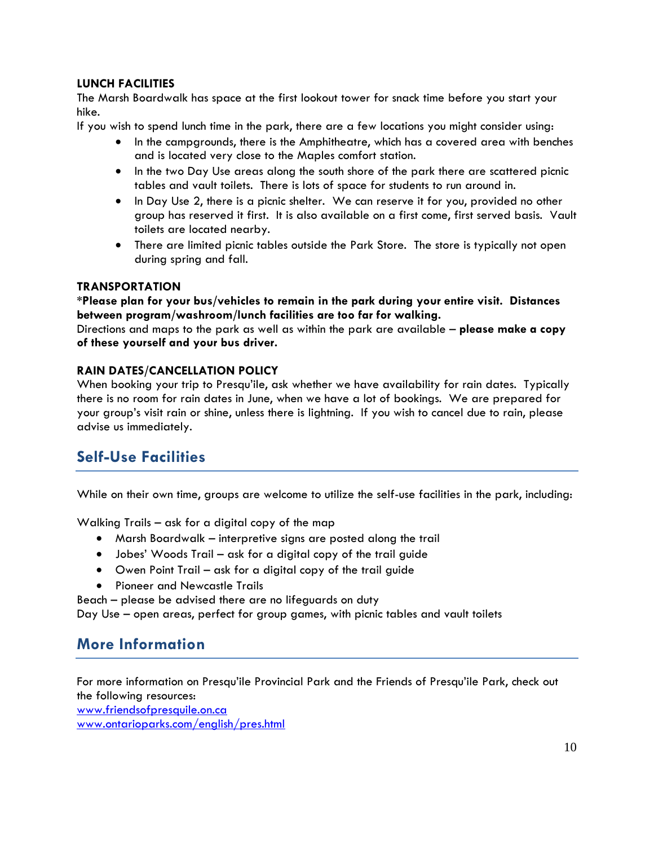### **LUNCH FACILITIES**

The Marsh Boardwalk has space at the first lookout tower for snack time before you start your hike.

If you wish to spend lunch time in the park, there are a few locations you might consider using:

- In the campgrounds, there is the Amphitheatre, which has a covered area with benches and is located very close to the Maples comfort station.
- In the two Day Use areas along the south shore of the park there are scattered picnic tables and vault toilets. There is lots of space for students to run around in.
- In Day Use 2, there is a picnic shelter. We can reserve it for you, provided no other group has reserved it first. It is also available on a first come, first served basis. Vault toilets are located nearby.
- There are limited picnic tables outside the Park Store. The store is typically not open during spring and fall.

### **TRANSPORTATION**

**\*Please plan for your bus/vehicles to remain in the park during your entire visit. Distances between program/washroom/lunch facilities are too far for walking.**

Directions and maps to the park as well as within the park are available – **please make a copy of these yourself and your bus driver.**

### **RAIN DATES/CANCELLATION POLICY**

When booking your trip to Presqu'ile, ask whether we have availability for rain dates. Typically there is no room for rain dates in June, when we have a lot of bookings. We are prepared for your group's visit rain or shine, unless there is lightning. If you wish to cancel due to rain, please advise us immediately.

### **Self-Use Facilities**

While on their own time, groups are welcome to utilize the self-use facilities in the park, including:

Walking Trails – ask for a digital copy of the map

- Marsh Boardwalk interpretive signs are posted along the trail
- Jobes' Woods Trail ask for a digital copy of the trail guide
- Owen Point Trail ask for a digital copy of the trail guide
- Pioneer and Newcastle Trails

Beach – please be advised there are no lifeguards on duty

Day Use – open areas, perfect for group games, with picnic tables and vault toilets

### **More Information**

For more information on Presqu'ile Provincial Park and the Friends of Presqu'ile Park, check out the following resources:

[www.friendsofpresquile.on.ca](http://www.friendsofpresquile.on.ca/) [www.ontarioparks.com/english/pres.html](http://www.ontarioparks.com/english/pres.html)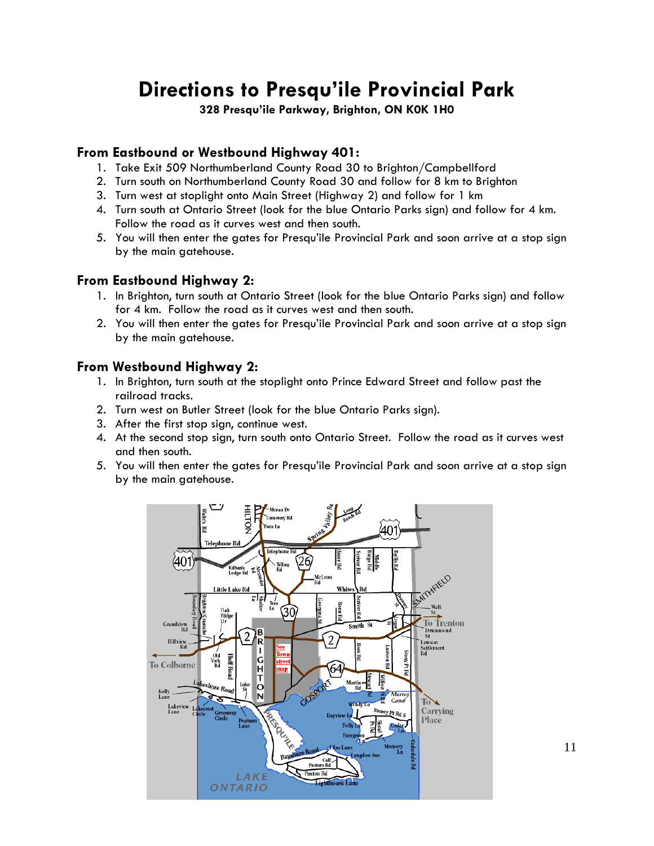## **Directions to Presqu'ile Provincial Park**

**328 Presqu'ile Parkway, Brighton, ON K0K 1H0**

### **From Eastbound or Westbound Highway 401:**

- 1. Take Exit 509 Northumberland County Road 30 to Brighton/Campbellford
- 2. Turn south on Northumberland County Road 30 and follow for 8 km to Brighton
- 3. Turn west at stoplight onto Main Street (Highway 2) and follow for 1 km
- 4. Turn south at Ontario Street (look for the blue Ontario Parks sign) and follow for 4 km. Follow the road as it curves west and then south.
- 5. You will then enter the gates for Presqu'ile Provincial Park and soon arrive at a stop sign by the main gatehouse.

### **From Eastbound Highway 2:**

- 1. In Brighton, turn south at Ontario Street (look for the blue Ontario Parks sign) and follow for 4 km. Follow the road as it curves west and then south.
- 2. You will then enter the gates for Presqu'ile Provincial Park and soon arrive at a stop sign by the main gatehouse.

### **From Westbound Highway 2:**

- 1. In Brighton, turn south at the stoplight onto Prince Edward Street and follow past the railroad tracks.
- 2. Turn west on Butler Street (look for the blue Ontario Parks sign).
- 3. After the first stop sign, continue west.
- 4. At the second stop sign, turn south onto Ontario Street. Follow the road as it curves west and then south.
- 5. You will then enter the gates for Presqu'ile Provincial Park and soon arrive at a stop sign by the main gatehouse.



11